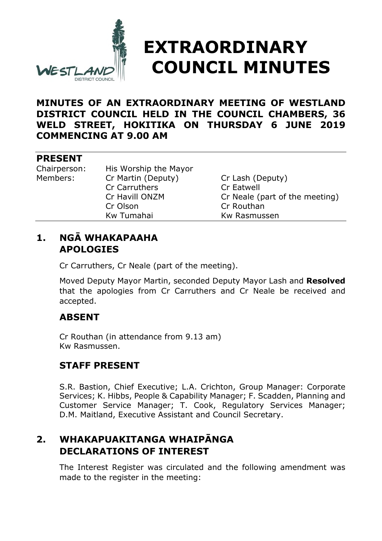

# **EXTRAORDINARY COUNCIL MINUTES**

## **MINUTES OF AN EXTRAORDINARY MEETING OF WESTLAND DISTRICT COUNCIL HELD IN THE COUNCIL CHAMBERS, 36 WELD STREET, HOKITIKA ON THURSDAY 6 JUNE 2019 COMMENCING AT 9.00 AM**

## **PRESENT**

Chairperson: His Worship the Mayor Members: Cr Martin (Deputy) Cr Lash (Deputy) Cr Carruthers Cr Eatwell Cr Olson Cr Routhan Kw Tumahai Kw Rasmussen

Cr Havill ONZM Cr Neale (part of the meeting)

## **1. NGĀ WHAKAPAAHA APOLOGIES**

Cr Carruthers, Cr Neale (part of the meeting).

Moved Deputy Mayor Martin, seconded Deputy Mayor Lash and **Resolved** that the apologies from Cr Carruthers and Cr Neale be received and accepted.

# **ABSENT**

Cr Routhan (in attendance from 9.13 am) Kw Rasmussen.

# **STAFF PRESENT**

S.R. Bastion, Chief Executive; L.A. Crichton, Group Manager: Corporate Services; K. Hibbs, People & Capability Manager; F. Scadden, Planning and Customer Service Manager; T. Cook, Regulatory Services Manager; D.M. Maitland, Executive Assistant and Council Secretary.

## **2. WHAKAPUAKITANGA WHAIPĀNGA DECLARATIONS OF INTEREST**

The Interest Register was circulated and the following amendment was made to the register in the meeting: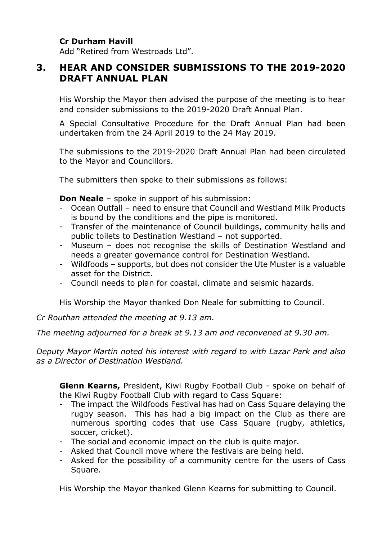#### **Cr Durham Havill**

Add "Retired from Westroads Ltd".

## **3. HEAR AND CONSIDER SUBMISSIONS TO THE 2019-2020 DRAFT ANNUAL PLAN**

His Worship the Mayor then advised the purpose of the meeting is to hear and consider submissions to the 2019-2020 Draft Annual Plan.

A Special Consultative Procedure for the Draft Annual Plan had been undertaken from the 24 April 2019 to the 24 May 2019.

The submissions to the 2019-2020 Draft Annual Plan had been circulated to the Mayor and Councillors.

The submitters then spoke to their submissions as follows:

**Don Neale** – spoke in support of his submission:

- Ocean Outfall need to ensure that Council and Westland Milk Products is bound by the conditions and the pipe is monitored.
- Transfer of the maintenance of Council buildings, community halls and public toilets to Destination Westland – not supported.
- Museum does not recognise the skills of Destination Westland and needs a greater governance control for Destination Westland.
- Wildfoods supports, but does not consider the Ute Muster is a valuable asset for the District.
- Council needs to plan for coastal, climate and seismic hazards.

His Worship the Mayor thanked Don Neale for submitting to Council.

*Cr Routhan attended the meeting at 9.13 am.*

*The meeting adjourned for a break at 9.13 am and reconvened at 9.30 am.*

*Deputy Mayor Martin noted his interest with regard to with Lazar Park and also as a Director of Destination Westland.*

**Glenn Kearns,** President, Kiwi Rugby Football Club - spoke on behalf of the Kiwi Rugby Football Club with regard to Cass Square:

- The impact the Wildfoods Festival has had on Cass Square delaying the rugby season. This has had a big impact on the Club as there are numerous sporting codes that use Cass Square (rugby, athletics, soccer, cricket).
- The social and economic impact on the club is quite major.
- Asked that Council move where the festivals are being held.
- Asked for the possibility of a community centre for the users of Cass Square.

His Worship the Mayor thanked Glenn Kearns for submitting to Council.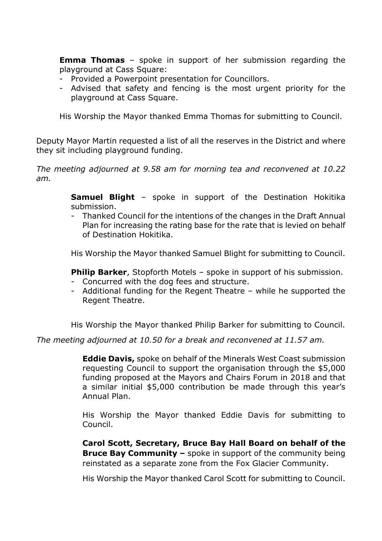**Emma Thomas** – spoke in support of her submission regarding the playground at Cass Square:

- Provided a Powerpoint presentation for Councillors.
- Advised that safety and fencing is the most urgent priority for the playground at Cass Square.

His Worship the Mayor thanked Emma Thomas for submitting to Council.

Deputy Mayor Martin requested a list of all the reserves in the District and where they sit including playground funding.

*The meeting adjourned at 9.58 am for morning tea and reconvened at 10.22 am.*

> **Samuel Blight** – spoke in support of the Destination Hokitika submission.

> - Thanked Council for the intentions of the changes in the Draft Annual Plan for increasing the rating base for the rate that is levied on behalf of Destination Hokitika.

> His Worship the Mayor thanked Samuel Blight for submitting to Council.

**Philip Barker**, Stopforth Motels – spoke in support of his submission.

- Concurred with the dog fees and structure.
- Additional funding for the Regent Theatre while he supported the Regent Theatre.

His Worship the Mayor thanked Philip Barker for submitting to Council.

*The meeting adjourned at 10.50 for a break and reconvened at 11.57 am.*

**Eddie Davis,** spoke on behalf of the Minerals West Coast submission requesting Council to support the organisation through the \$5,000 funding proposed at the Mayors and Chairs Forum in 2018 and that a similar initial \$5,000 contribution be made through this year's Annual Plan.

His Worship the Mayor thanked Eddie Davis for submitting to Council.

**Carol Scott, Secretary, Bruce Bay Hall Board on behalf of the Bruce Bay Community –** spoke in support of the community being reinstated as a separate zone from the Fox Glacier Community.

His Worship the Mayor thanked Carol Scott for submitting to Council.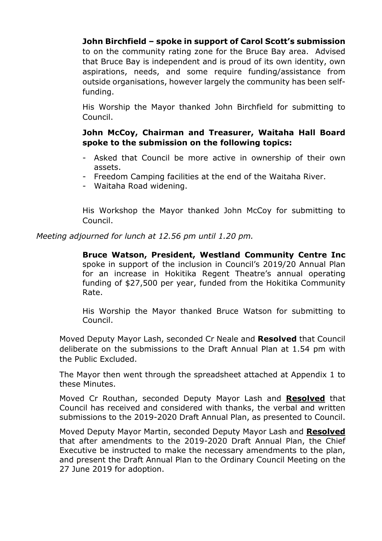#### **John Birchfield – spoke in support of Carol Scott's submission**

to on the community rating zone for the Bruce Bay area. Advised that Bruce Bay is independent and is proud of its own identity, own aspirations, needs, and some require funding/assistance from outside organisations, however largely the community has been selffunding.

His Worship the Mayor thanked John Birchfield for submitting to Council.

#### **John McCoy, Chairman and Treasurer, Waitaha Hall Board spoke to the submission on the following topics:**

- Asked that Council be more active in ownership of their own assets.
- Freedom Camping facilities at the end of the Waitaha River.
- Waitaha Road widening.

His Workshop the Mayor thanked John McCoy for submitting to Council.

*Meeting adjourned for lunch at 12.56 pm until 1.20 pm.*

**Bruce Watson, President, Westland Community Centre Inc** spoke in support of the inclusion in Council's 2019/20 Annual Plan for an increase in Hokitika Regent Theatre's annual operating funding of \$27,500 per year, funded from the Hokitika Community Rate.

His Worship the Mayor thanked Bruce Watson for submitting to Council.

Moved Deputy Mayor Lash, seconded Cr Neale and **Resolved** that Council deliberate on the submissions to the Draft Annual Plan at 1.54 pm with the Public Excluded.

The Mayor then went through the spreadsheet attached at Appendix 1 to these Minutes.

Moved Cr Routhan, seconded Deputy Mayor Lash and **Resolved** that Council has received and considered with thanks, the verbal and written submissions to the 2019-2020 Draft Annual Plan, as presented to Council.

Moved Deputy Mayor Martin, seconded Deputy Mayor Lash and **Resolved** that after amendments to the 2019-2020 Draft Annual Plan, the Chief Executive be instructed to make the necessary amendments to the plan, and present the Draft Annual Plan to the Ordinary Council Meeting on the 27 June 2019 for adoption.